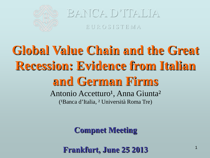

E U R O S I S T E M A

# **Global Value Chain and the Great Recession: Evidence from Italian and German Firms** Antonio Accetturo<sup>1</sup>, Anna Giunta<sup>2</sup> (<sup>1</sup>Banca d'Italia, <sup>2</sup> Università Roma Tre)

**Compnet Meeting**

**Frankfurt, June 25 2013**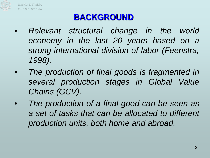

#### **BACKGROUND**

- *Relevant structural change in the world economy in the last 20 years based on a strong international division of labor (Feenstra, 1998).*
- *The production of final goods is fragmented in several production stages in Global Value Chains (GCV).*
- *The production of a final good can be seen as a set of tasks that can be allocated to different production units, both home and abroad.*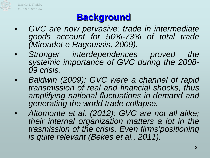

## **Background**

- *GVC are now pervasive: trade in intermediate goods account for 56%-73% of total trade (Miroudot e Ragoussis, 2009).*
- *Stronger interdependences proved the systemic importance of GVC during the 2008- <sup>09</sup> crisis.*
- *Baldwin (2009): GVC were a channel of rapid transmission of real and financial shocks, thus amplifying national fluctuations in demand and generating the world trade collapse.*
- *Altomonte et al. (2012): GVC are not all alike; their internal organization matters a lot in the trasmission of the crisis. Even firms'positioning is quite relevant (Bekes et al., 2011).*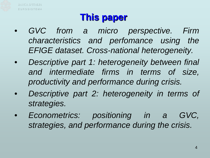

## **This paper**

- *GVC from a micro perspective. Firm characteristics and perfomance using the EFIGE dataset. Cross-national heterogeneity.*
- *Descriptive part 1: heterogeneity between final and intermediate firms in terms of size, productivity and performance during crisis.*
- *Descriptive part 2: heterogeneity in terms of strategies.*
- *Econometrics: positioning in a GVC, strategies, and performance during the crisis.*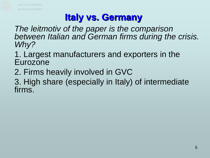

# **Italy vs. Germany**

*The leitmotiv of the paper is the comparison between Italian and German firms during the crisis. Why?*

1. Largest manufacturers and exporters in the Eurozone

2. Firms heavily involved in GVC

3. High share (especially in Italy) of intermediate firms.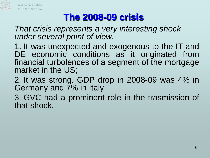

## **The 2008-09 crisis**

*That crisis represents a very interesting shock under several point of view.*

1. It was unexpected and exogenous to the IT and DE economic conditions as it originated from financial turbolences of a segment of the mortgage market in the US;

2. It was strong. GDP drop in 2008-09 was 4% in Germany and  $\overline{7}\%$  in Italy;

3. GVC had a prominent role in the trasmission of that shock.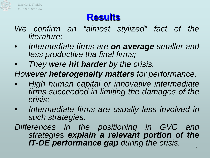

## **Results**

- *We confirm an "almost stylized" fact of the literature:*
- *Intermediate firms are on average smaller and less productive tha final firms;*
- *They were hit harder by the crisis.*
- *However heterogeneity matters for performance:*
- *High human capital or innovative intermediate firms succeeded in limiting the damages of the crisis;*
- *Intermediate firms are usually less involved in such strategies.*
- *Differences in the positioning in GVC and strategies explain a relevant portion of the IT-DE performance gap during the crisis.*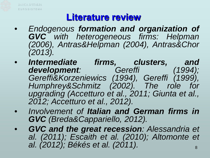

#### **Literature review**

- *Endogenous formation and organization of GVC with heterogeneous firms: Helpman (2006), Antras&Helpman (2004), Antras&Chor (2013).*
- *Intermediate firms, clusters, and development: Gereffi (1994); Gereffi&Korzeniewics (1994), Gereffi (1999), Humphrey&Schmitz (2002). The role for upgrading (Accetturo et al., 2011; Giunta et al., 2012; Accetturo et al., 2012).*
- *Involvement of Italian and German firms in GVC (Breda&Cappariello, 2012).*
- 8 • *GVC and the great recession: Alessandria et al. (2011); Escaith et al. (2010); Altomonte et al. (2012); Békés et al. (2011).*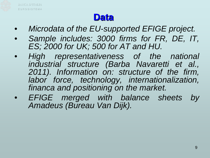

#### **Data**

- *Microdata of the EU-supported EFIGE project.*
- *Sample includes: 3000 firms for FR, DE, IT, ES; 2000 for UK; 500 for AT and HU.*
- *High representativeness of the national industrial structure (Barba Navaretti et al., 2011). Information on: structure of the firm, labor force, technology, internationalization, financa and positioning on the market.*
- *EFIGE merged with balance sheets by Amadeus (Bureau Van Dijk).*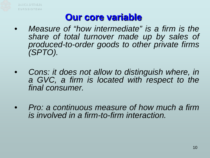

#### **Our core variable**

- *Measure of "how intermediate" is a firm is the share of total turnover made up by sales of produced-to-order goods to other private firms (SPTO).*
- *Cons: it does not allow to distinguish where, in a GVC, a firm is located with respect to the final consumer.*
- *Pro: a continuous measure of how much a firm is involved in a firm-to-firm interaction.*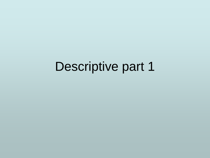# Descriptive part 1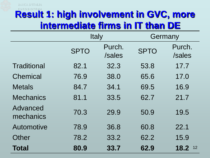

|                       | <b>Italy</b> |                  | Germany     |                  |
|-----------------------|--------------|------------------|-------------|------------------|
|                       | <b>SPTO</b>  | Purch.<br>/sales | <b>SPTO</b> | Purch.<br>/sales |
| Traditional           | 82.1         | 32.3             | 53.8        | 17.7             |
| Chemical              | 76.9         | 38.0             | 65.6        | 17.0             |
| <b>Metals</b>         | 84.7         | 34.1             | 69.5        | 16.9             |
| <b>Mechanics</b>      | 81.1         | 33.5             | 62.7        | 21.7             |
| Advanced<br>mechanics | 70.3         | 29.9             | 50.9        | 19.5             |
| Automotive            | 78.9         | 36.8             | 60.8        | 22.1             |
| Other                 | 78.2         | 33.2             | 62.2        | 15.9             |
| <b>Total</b>          | 80.9         | 33.7             | 62.9        | 18.2<br>12       |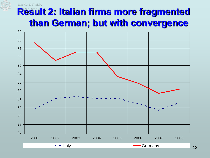#### **Result 2: Italian firms more fragmented than German; but with convergence**

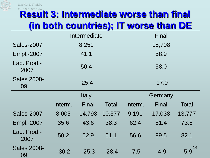

## **Result 3: Intermediate worse than final (in both countries); IT worse than DE**

|                          | Intermediate |         |              | Final   |         |              |
|--------------------------|--------------|---------|--------------|---------|---------|--------------|
| <b>Sales-2007</b>        |              | 8,251   |              |         | 15,708  |              |
| Empl.-2007               |              | 41.1    |              |         | 58.9    |              |
| Lab. Prod.-<br>2007      |              | 50.4    |              |         | 58.0    |              |
| <b>Sales 2008-</b><br>09 |              | $-25.4$ |              |         | $-17.0$ |              |
|                          |              | Italy   |              |         | Germany |              |
|                          | Interm.      | Final   | <b>Total</b> | Interm. | Final   | <b>Total</b> |
| <b>Sales-2007</b>        | 8,005        | 14,798  | 10,377       | 9,191   | 17,038  | 13,777       |
| <b>Empl.-2007</b>        | 35.6         | 43.6    | 38.3         | 62.4    | 81.4    | 73.5         |
| Lab. Prod -<br>2007      | 50.2         | 52.9    | 51.1         | 56.6    | 99.5    | 82.1         |
| <b>Sales 2008-</b><br>09 | $-30.2$      | $-25.3$ | $-28.4$      | $-7.5$  | $-4.9$  | 14<br>-5.9   |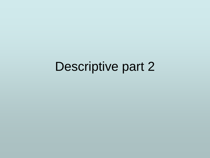# Descriptive part 2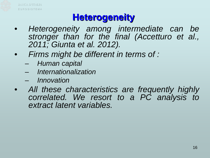

#### **Heterogeneity**

- *Heterogeneity among intermediate can be stronger than for the final (Accetturo et al., 2011; Giunta et al. 2012).*
- *Firms might be different in terms of :*
	- *Human capital*
	- *Internationalization*
	- *Innovation*
- *All these characteristics are frequently highly correlated. We resort to a PC analysis to extract latent variables.*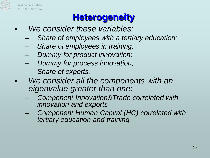

## **Heterogeneity**

- *We consider these variables:*
	- *Share of employees with a tertiary education;*
	- *Share of employees in training;*
	- *Dummy for product innovation;*
	- *Dummy for process innovation;*
	- *Share of exports.*
- *We consider all the components with an eigenvalue greater than one:*
	- *Component Innovation&Trade correlated with innovation and exports*
	- *Component Human Capital (HC) correlated with tertiary education and training.*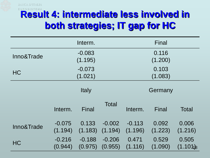

# **Result 4: intermediate less involved in both strategies; IT gap for HC**

|            |                     | Interm.             |                     |                     | <b>Final</b>     |                        |
|------------|---------------------|---------------------|---------------------|---------------------|------------------|------------------------|
| Inno&Trade |                     | $-0.083$            |                     |                     | 0.116            |                        |
|            | (1.195)             |                     |                     | (1.200)             |                  |                        |
| <b>HC</b>  |                     | $-0.073$            |                     | 0.103               |                  |                        |
|            |                     | (1.021)             |                     |                     | (1.083)          |                        |
|            |                     | <b>Italy</b>        |                     |                     | Germany          |                        |
|            | Interm.             | Final               | <b>Total</b>        | Interm.             | Final            | Total                  |
| Inno&Trade | $-0.075$<br>(1.194) | 0.133<br>(1.183)    | $-0.002$<br>(1.194) | $-0.113$<br>(1.196) | 0.092<br>(1.223) | 0.006<br>(1.216)       |
| <b>HC</b>  | $-0.216$<br>(0.944) | $-0.188$<br>(0.975) | $-0.206$<br>(0.955) | 0.471<br>(1.116)    | 0.529<br>(1.090) | 0.505<br>$(1.101)_{8}$ |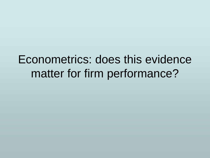# Econometrics: does this evidence matter for firm performance?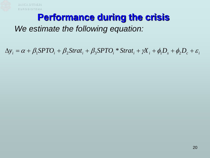

#### **Performance during the crisis**

#### *We estimate the following equation:*

 $\Delta y_i = \alpha + \beta_1 SPTO_i + \beta_2 Strat_i + \beta_3 SPTO_i * Strat_i + \gamma X_i + \phi_1 D_s + \phi_2 D_c + \varepsilon_i$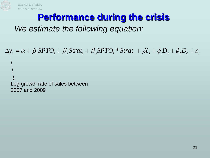

#### **Performance during the crisis**

#### *We estimate the following equation:*

 $\Delta y_i = \alpha + \beta_1 SPTO_i + \beta_2 Strat_i + \beta_3 SPTO_i * Strat_i + \gamma X_i + \phi_1 D_s + \phi_2 D_c + \varepsilon_i$ 

Log growth rate of sales between 2007 and 2009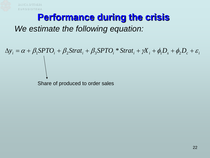

#### **Performance during the crisis**

#### *We estimate the following equation:*

 $\Delta y_i = \alpha + \beta_1 SPTO_i + \beta_2 Strat_i + \beta_3 SPTO_i * Strat_i + \gamma X_i + \phi_1 D_s + \phi_2 D_c + \varepsilon_i$ 

Share of produced to order sales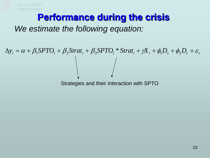

#### **Performance during the crisis**

#### *We estimate the following equation:*

# $\Delta y_i = \alpha + \beta_1 SPTO_i + \beta_2 Strat_i + \beta_3 SPTO_i * Strat_i + \gamma X_i + \phi_1 D_s + \phi_2 D_c + \varepsilon_i$

Strategies and their interaction with SPTO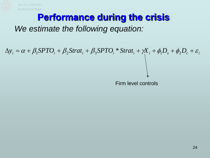

#### **Performance during the crisis**

#### *We estimate the following equation:*

 $\Delta y_i = \alpha + \beta_1 SPTO_i + \beta_2 Strat_i + \beta_3 SPTO_i * Strat_i + \gamma X_i + \phi_1 D_s + \phi_2 D_c + \varepsilon_i$ 

Firm level controls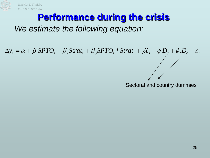

#### **Performance during the crisis**

#### *We estimate the following equation:*

 $\Delta y_i = \alpha + \beta_1 SPTO_i + \beta_2 Strat_i + \beta_3 SPTO_i * Strat_i + \gamma X_i + \phi_1 D_s + \phi_2 D_c + \varepsilon_i$ 

Sectoral and country dummies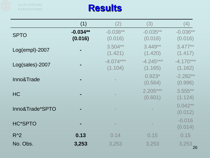

|                 | (1)                   | (2)                    | (3)                    | (4)                    |
|-----------------|-----------------------|------------------------|------------------------|------------------------|
| <b>SPTO</b>     | $-0.034**$<br>(0.016) | $-0.038**$<br>(0.016)  | $-0.035**$<br>(0.016)  | $-0.036**$<br>(0.016)  |
| Log(empl)-2007  |                       | $3.504**$<br>(1.421)   | $3.449**$<br>(1.420)   | $3.477**$<br>(1.417)   |
| Log(sales)-2007 |                       | $-4.074***$<br>(1.104) | $-4.245***$<br>(1.165) | $-4.170***$<br>(1.162) |
| Inno&Trade      |                       |                        | $0.923*$<br>(0.564)    | $-2.282**$<br>(0.996)  |
| <b>HC</b>       |                       |                        | $2.205***$<br>(0.601)  | $3.555***$<br>(1.124)  |
| Inno&Trade*SPTO |                       |                        |                        | $0.042**$<br>(0.012)   |
| <b>HC*SPTO</b>  |                       |                        |                        | $-0.016$<br>(0.014)    |
| $R^2$           | 0.13                  | 0.14                   | 0.15                   | 0.15                   |
| No. Obs.        | 3,253                 | 3,253                  | 3,253                  | 26                     |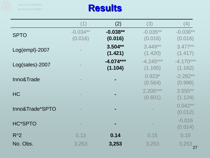

|                 | (1)                   | (2)                    | (3)                    | (4)                    |
|-----------------|-----------------------|------------------------|------------------------|------------------------|
| <b>SPTO</b>     | $-0.034**$<br>(0.016) | $-0.038**$<br>(0.016)  | $-0.035**$<br>(0.016)  | $-0.036**$<br>(0.016)  |
| Log(empl)-2007  |                       | $3.504**$<br>(1.421)   | $3.449**$<br>(1.420)   | $3.477**$<br>(1.417)   |
| Log(sales)-2007 |                       | $-4.074***$<br>(1.104) | $-4.245***$<br>(1.165) | $-4.170***$<br>(1.162) |
| Inno&Trade      |                       |                        | $0.923*$<br>(0.564)    | $-2.282**$<br>(0.996)  |
| <b>HC</b>       |                       |                        | $2.205***$<br>(0.601)  | $3.555***$<br>(1.124)  |
| Inno&Trade*SPTO |                       |                        |                        | $0.042**$<br>(0.012)   |
| <b>HC*SPTO</b>  |                       |                        |                        | $-0.016$<br>(0.014)    |
| $R^2$           | 0.13                  | 0.14                   | 0.15                   | 0.15                   |
| No. Obs.        | 3,253                 | 3,253                  | 3,253                  | 3,253                  |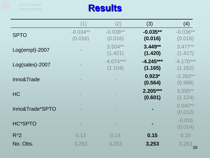

|                 | (1)                   | (2)                    | (3)                    | (4)                    |
|-----------------|-----------------------|------------------------|------------------------|------------------------|
| <b>SPTO</b>     | $-0.034**$<br>(0.016) | $-0.038**$<br>(0.016)  | $-0.035**$<br>(0.016)  | $-0.036**$<br>(0.016)  |
| Log(empl)-2007  |                       | $3.504**$<br>(1.421)   | $3.449**$<br>(1.420)   | $3.477**$<br>(1.417)   |
| Log(sales)-2007 |                       | $-4.074***$<br>(1.104) | $-4.245***$<br>(1.165) | $-4.170***$<br>(1.162) |
| Inno&Trade      |                       |                        | $0.923*$<br>(0.564)    | $-2.282**$<br>(0.996)  |
| <b>HC</b>       |                       |                        | $2.205***$<br>(0.601)  | $3.555***$<br>(1.124)  |
| Inno&Trade*SPTO |                       |                        |                        | $0.042**$<br>(0.012)   |
| <b>HC*SPTO</b>  |                       |                        |                        | $-0.016$<br>(0.014)    |
| $R^2$           | 0.13                  | 0.14                   | 0.15                   | 0.15                   |
| No. Obs.        | 3,253                 | 3,253                  | 3,253                  | 28                     |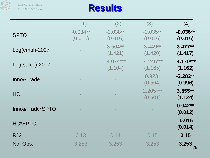

|                 | (1)                   | (2)                    | (3)                    | (4)                    |
|-----------------|-----------------------|------------------------|------------------------|------------------------|
| <b>SPTO</b>     | $-0.034**$<br>(0.016) | $-0.038**$<br>(0.016)  | $-0.035**$<br>(0.016)  | $-0.036**$<br>(0.016)  |
| Log(empl)-2007  |                       | $3.504**$<br>(1.421)   | $3.449**$<br>(1.420)   | $3.477**$<br>(1.417)   |
| Log(sales)-2007 |                       | $-4.074***$<br>(1.104) | $-4.245***$<br>(1.165) | $-4.170***$<br>(1.162) |
| Inno&Trade      |                       |                        | $0.923*$<br>(0.564)    | $-2.282**$<br>(0.996)  |
| <b>HC</b>       |                       |                        | $2.205***$<br>(0.601)  | $3.555**$<br>(1.124)   |
| Inno&Trade*SPTO |                       |                        |                        | $0.042**$<br>(0.012)   |
| <b>HC*SPTO</b>  |                       |                        |                        | $-0.016$<br>(0.014)    |
| $R^2$           | 0.13                  | 0.14                   | 0.15                   | 0.15                   |
| No. Obs.        | 3,253                 | 3,253                  | 3,253                  | $3,253$ <sub>29</sub>  |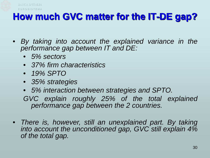

#### **How much GVC matter for the IT-DE gap?**

- *By taking into account the explained variance in the performance gap between IT and DE:*
	- *5% sectors*
	- *37% firm characteristics*
	- *19% SPTO*
	- *35% strategies*
	- *5% interaction between strategies and SPTO.*

*GVC explain roughly 25% of the total explained performance gap between the 2 countries.*

• *There is, however, still an unexplained part. By taking into account the unconditioned gap, GVC still explain 4% of the total gap.*